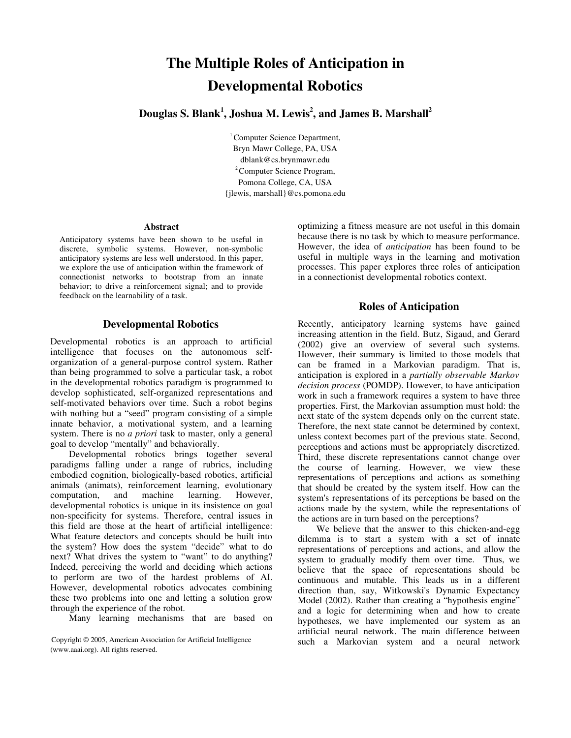# The Multiple Roles of Anticipation in Developmental Robotics

Douglas S. Blank<sup>1</sup>, Joshua M. Lewis<sup>2</sup>, and James B. Marshall<sup>2</sup>

 $1$ Computer Science Department, Bryn Mawr College, PA, USA dblank@cs.brynmawr.edu <sup>2</sup> Computer Science Program, Pomona College, CA, USA {jlewis, marshall}@cs.pomona.edu

#### Abstract

Anticipatory systems have been shown to be useful in discrete, symbolic systems. However, non-symbolic anticipatory systems are less well understood. In this paper, we explore the use of anticipation within the framework of connectionist networks to bootstrap from an innate behavior; to drive a reinforcement signal; and to provide feedback on the learnability of a task.

## Developmental Robotics

Developmental robotics is an approach to artificial intelligence that focuses on the autonomous selforganization of a general-purpose control system. Rather than being programmed to solve a particular task, a robot in the developmental robotics paradigm is programmed to develop sophisticated, self-organized representations and self-motivated behaviors over time. Such a robot begins with nothing but a "seed" program consisting of a simple innate behavior, a motivational system, and a learning system. There is no *a priori* task to master, only a general goal to develop "mentally" and behaviorally.

Developmental robotics brings together several paradigms falling under a range of rubrics, including embodied cognition, biologically-based robotics, artificial animals (animats), reinforcement learning, evolutionary computation, and machine learning. However, developmental robotics is unique in its insistence on goal nonspecificity for systems. Therefore, central issues in this field are those at the heart of artificial intelligence: What feature detectors and concepts should be built into the system? How does the system "decide" what to do next? What drives the system to "want" to do anything? Indeed, perceiving the world and deciding which actions to perform are two of the hardest problems of AI. However, developmental robotics advocates combining these two problems into one and letting a solution grow through the experience of the robot.

Many learning mechanisms that are based on

optimizing a fitness measure are not useful in this domain because there is no task by which to measure performance. However, the idea of *anticipation* has been found to be useful in multiple ways in the learning and motivation processes. This paper explores three roles of anticipation in a connectionist developmental robotics context.

# Roles of Anticipation

Recently, anticipatory learning systems have gained increasing attention in the field. Butz, Sigaud, and Gerard (2002) give an overview of several such systems. However, their summary is limited to those models that can be framed in a Markovian paradigm. That is, anticipation is explored in a *partially observable Markov decision process* (POMDP). However, to have anticipation work in such a framework requires a system to have three properties. First, the Markovian assumption must hold: the next state of the system depends only on the current state. Therefore, the next state cannot be determined by context, unless context becomes part of the previous state. Second, perceptions and actions must be appropriately discretized. Third, these discrete representations cannot change over the course of learning. However, we view these representations of perceptions and actions as something that should be created by the system itself. How can the system's representations of its perceptions be based on the actions made by the system, while the representations of the actions are in turn based on the perceptions?

We believe that the answer to this chicken-and-egg dilemma is to start a system with a set of innate representations of perceptions and actions, and allow the system to gradually modify them over time. Thus, we believe that the space of representations should be continuous and mutable. This leads us in a different direction than, say, Witkowski's Dynamic Expectancy Model (2002). Rather than creating a "hypothesis engine" and a logic for determining when and how to create hypotheses, we have implemented our system as an artificial neural network. The main difference between such a Markovian system and a neural network

Copyright © 2005, American Association for Artificial Intelligence (www.aaai.org). All rights reserved.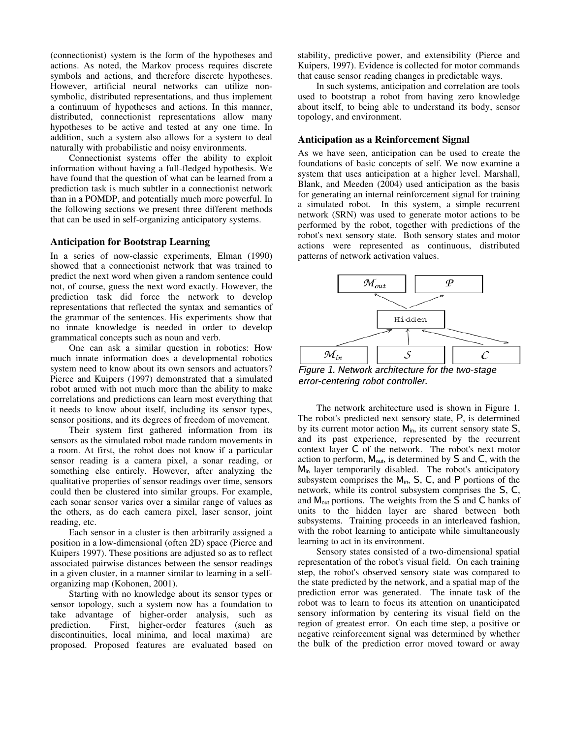(connectionist) system is the form of the hypotheses and actions. As noted, the Markov process requires discrete symbols and actions, and therefore discrete hypotheses. However, artificial neural networks can utilize nonsymbolic, distributed representations, and thus implement a continuum of hypotheses and actions. In this manner, distributed, connectionist representations allow many hypotheses to be active and tested at any one time. In addition, such a system also allows for a system to deal naturally with probabilistic and noisy environments.

Connectionist systems offer the ability to exploit information without having a full-fledged hypothesis. We have found that the question of what can be learned from a prediction task is much subtler in a connectionist network than in a POMDP, and potentially much more powerful. In the following sections we present three different methods that can be used in self-organizing anticipatory systems.

### Anticipation for Bootstrap Learning

In a series of nowclassic experiments, Elman (1990) showed that a connectionist network that was trained to predict the next word when given a random sentence could not, of course, guess the next word exactly. However, the prediction task did force the network to develop representations that reflected the syntax and semantics of the grammar of the sentences. His experiments show that no innate knowledge is needed in order to develop grammatical concepts such as noun and verb.

One can ask a similar question in robotics: How much innate information does a developmental robotics system need to know about its own sensors and actuators? Pierce and Kuipers (1997) demonstrated that a simulated robot armed with not much more than the ability to make correlations and predictions can learn most everything that it needs to know about itself, including its sensor types, sensor positions, and its degrees of freedom of movement.

Their system first gathered information from its sensors as the simulated robot made random movements in a room. At first, the robot does not know if a particular sensor reading is a camera pixel, a sonar reading, or something else entirely. However, after analyzing the qualitative properties of sensor readings over time, sensors could then be clustered into similar groups. For example, each sonar sensor varies over a similar range of values as the others, as do each camera pixel, laser sensor, joint reading, etc.

Each sensor in a cluster is then arbitrarily assigned a position in a low-dimensional (often 2D) space (Pierce and Kuipers 1997). These positions are adjusted so as to reflect associated pairwise distances between the sensor readings in a given cluster, in a manner similar to learning in a selforganizing map (Kohonen, 2001).

Starting with no knowledge about its sensor types or sensor topology, such a system now has a foundation to take advantage of higher-order analysis, such as prediction. First, higher-order features (such as discontinuities, local minima, and local maxima) are proposed. Proposed features are evaluated based on

stability, predictive power, and extensibility (Pierce and Kuipers, 1997). Evidence is collected for motor commands that cause sensor reading changes in predictable ways.

In such systems, anticipation and correlation are tools used to bootstrap a robot from having zero knowledge about itself, to being able to understand its body, sensor topology, and environment.

#### Anticipation as a Reinforcement Signal

As we have seen, anticipation can be used to create the foundations of basic concepts of self. We now examine a system that uses anticipation at a higher level. Marshall, Blank, and Meeden (2004) used anticipation as the basis for generating an internal reinforcement signal for training a simulated robot. In this system, a simple recurrent network (SRN) was used to generate motor actions to be performed by the robot, together with predictions of the robot's next sensory state. Both sensory states and motor actions were represented as continuous, distributed patterns of network activation values.



Figure 1. Network architecture for the two-stage error-centering robot controller.

The network architecture used is shown in Figure 1. The robot's predicted next sensory state, P, is determined by its current motor action  $M_{in}$ , its current sensory state  $S$ , and its past experience, represented by the recurrent context layer C of the network. The robot's next motor action to perform,  $M_{\text{out}}$ , is determined by  $S$  and  $C$ , with the  $M_{in}$  layer temporarily disabled. The robot's anticipatory subsystem comprises the  $M_{in}$ , S, C, and P portions of the network, while its control subsystem comprises the S, C, and  $M_{\text{out}}$  portions. The weights from the S and C banks of units to the hidden layer are shared between both subsystems. Training proceeds in an interleaved fashion, with the robot learning to anticipate while simultaneously learning to act in its environment.

Sensory states consisted of a two-dimensional spatial representation of the robot's visual field. On each training step, the robot's observed sensory state was compared to the state predicted by the network, and a spatial map of the prediction error was generated. The innate task of the robot was to learn to focus its attention on unanticipated sensory information by centering its visual field on the region of greatest error. On each time step, a positive or negative reinforcement signal was determined by whether the bulk of the prediction error moved toward or away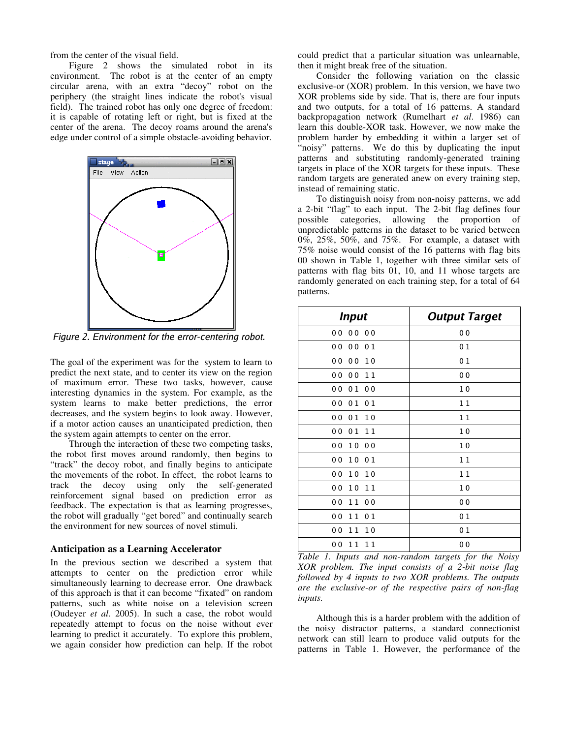from the center of the visual field.

Figure 2 shows the simulated robot in its environment. The robot is at the center of an empty circular arena, with an extra "decoy" robot on the periphery (the straight lines indicate the robot's visual field). The trained robot has only one degree of freedom: it is capable of rotating left or right, but is fixed at the center of the arena. The decoy roams around the arena's edge under control of a simple obstacle-avoiding behavior.



Figure 2. Environment for the error-centering robot.

The goal of the experiment was for the system to learn to predict the next state, and to center its view on the region of maximum error. These two tasks, however, cause interesting dynamics in the system. For example, as the system learns to make better predictions, the error decreases, and the system begins to look away. However, if a motor action causes an unanticipated prediction, then the system again attempts to center on the error.

Through the interaction of these two competing tasks, the robot first moves around randomly, then begins to "track" the decoy robot, and finally begins to anticipate the movements of the robot. In effect, the robot learns to track the decoy using only the self-generated reinforcement signal based on prediction error as feedback. The expectation is that as learning progresses, the robot will gradually "get bored" and continually search the environment for new sources of novel stimuli.

## Anticipation as a Learning Accelerator

In the previous section we described a system that attempts to center on the prediction error while simultaneously learning to decrease error. One drawback of this approach is that it can become "fixated" on random patterns, such as white noise on a television screen (Oudeyer *et al*. 2005). In such a case, the robot would repeatedly attempt to focus on the noise without ever learning to predict it accurately. To explore this problem, we again consider how prediction can help. If the robot could predict that a particular situation was unlearnable, then it might break free of the situation.

Consider the following variation on the classic exclusive-or  $(XOR)$  problem. In this version, we have two XOR problems side by side. That is, there are four inputs and two outputs, for a total of 16 patterns. A standard backpropagation network (Rumelhart *et al*. 1986) can learn this double-XOR task. However, we now make the problem harder by embedding it within a larger set of "noisy" patterns. We do this by duplicating the input patterns and substituting randomly-generated training targets in place of the XOR targets for these inputs. These random targets are generated anew on every training step, instead of remaining static.

To distinguish noisy from non-noisy patterns, we add a 2-bit "flag" to each input. The 2-bit flag defines four possible categories, allowing the proportion of unpredictable patterns in the dataset to be varied between 0%, 25%, 50%, and 75%. For example, a dataset with 75% noise would consist of the 16 patterns with flag bits 00 shown in Table 1, together with three similar sets of patterns with flag bits 01, 10, and 11 whose targets are randomly generated on each training step, for a total of 64 patterns.

| <b>Input</b>                                       | <b>Output Target</b> |
|----------------------------------------------------|----------------------|
| 0 <sub>0</sub><br>0 <sub>0</sub><br>0 <sub>0</sub> | 0 <sub>0</sub>       |
| 0 <sub>0</sub><br>0 <sub>0</sub><br>01             | 01                   |
| 0 <sub>0</sub><br>0 <sub>0</sub><br>10             | 0 <sub>1</sub>       |
| 0 <sub>0</sub><br>0 <sub>0</sub><br>11             | 0 <sub>0</sub>       |
| 0 <sub>0</sub><br>01<br>0 <sub>0</sub>             | 10                   |
| 0 <sub>0</sub><br>01<br>0 <sub>1</sub>             | 11                   |
| 00<br>01<br>10                                     | 11                   |
| 01<br>0 <sub>0</sub><br>11                         | 10                   |
| 0 <sub>0</sub><br>10<br>0 <sub>0</sub>             | 10                   |
| 0 <sub>0</sub><br>10<br>01                         | 11                   |
| 0 <sub>0</sub><br>10<br>10                         | 11                   |
| 0 <sub>0</sub><br>10<br>11                         | 10                   |
| 0 <sub>0</sub><br>11<br>0 <sub>0</sub>             | 0 <sub>0</sub>       |
| 0 <sub>0</sub><br>11<br>0 <sub>1</sub>             | 0 <sub>1</sub>       |
| 0 <sub>0</sub><br>11<br>10                         | 01                   |
| 00<br>11<br>11                                     | 0 <sub>0</sub>       |

*Table 1. Inputs and nonrandom targets for the Noisy XOR problem. The input consists of a 2bit noise flag followed by 4 inputs to two XOR problems. The outputs are the exclusive-or of the respective pairs of non-flag inputs.*

Although this is a harder problem with the addition of the noisy distractor patterns, a standard connectionist network can still learn to produce valid outputs for the patterns in Table 1. However, the performance of the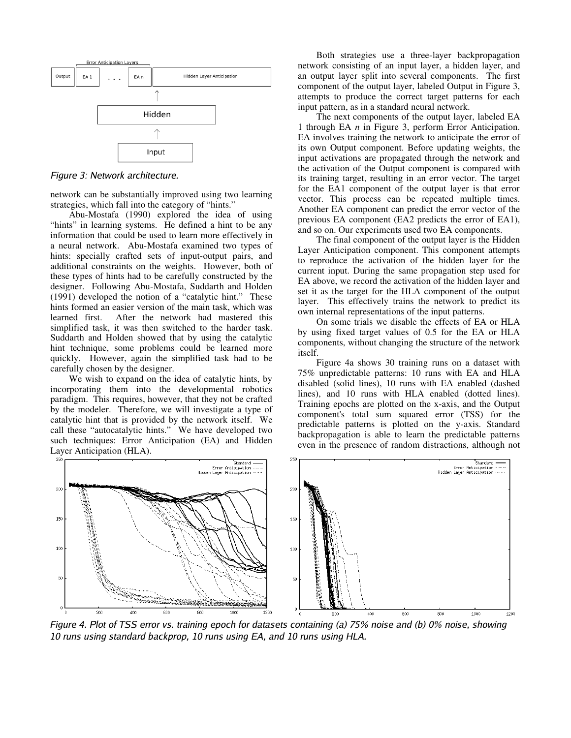

Figure 3: Network architecture.

network can be substantially improved using two learning strategies, which fall into the category of "hints."

Abu-Mostafa (1990) explored the idea of using "hints" in learning systems. He defined a hint to be any information that could be used to learn more effectively in a neural network. Abu-Mostafa examined two types of hints: specially crafted sets of input-output pairs, and additional constraints on the weights. However, both of these types of hints had to be carefully constructed by the designer. Following Abu-Mostafa, Suddarth and Holden (1991) developed the notion of a "catalytic hint." These hints formed an easier version of the main task, which was learned first. After the network had mastered this simplified task, it was then switched to the harder task. Suddarth and Holden showed that by using the catalytic hint technique, some problems could be learned more quickly. However, again the simplified task had to be carefully chosen by the designer.

We wish to expand on the idea of catalytic hints, by incorporating them into the developmental robotics paradigm. This requires, however, that they not be crafted by the modeler. Therefore, we will investigate a type of catalytic hint that is provided by the network itself. We call these "autocatalytic hints." We have developed two such techniques: Error Anticipation (EA) and Hidden Layer Anticipation (HLA).

Both strategies use a threelayer backpropagation network consisting of an input layer, a hidden layer, and an output layer split into several components. The first component of the output layer, labeled Output in Figure 3, attempts to produce the correct target patterns for each input pattern, as in a standard neural network.

The next components of the output layer, labeled EA 1 through EA *n* in Figure 3, perform Error Anticipation. EA involves training the network to anticipate the error of its own Output component. Before updating weights, the input activations are propagated through the network and the activation of the Output component is compared with its training target, resulting in an error vector. The target for the EA1 component of the output layer is that error vector. This process can be repeated multiple times. Another EA component can predict the error vector of the previous EA component (EA2 predicts the error of EA1), and so on. Our experiments used two EA components.

The final component of the output layer is the Hidden Layer Anticipation component. This component attempts to reproduce the activation of the hidden layer for the current input. During the same propagation step used for EA above, we record the activation of the hidden layer and set it as the target for the HLA component of the output layer. This effectively trains the network to predict its own internal representations of the input patterns.

On some trials we disable the effects of EA or HLA by using fixed target values of 0.5 for the EA or HLA components, without changing the structure of the network itself.

Figure 4a shows 30 training runs on a dataset with 75% unpredictable patterns: 10 runs with EA and HLA disabled (solid lines), 10 runs with EA enabled (dashed lines), and 10 runs with HLA enabled (dotted lines). Training epochs are plotted on the x-axis, and the Output component's total sum squared error (TSS) for the predictable patterns is plotted on the y-axis. Standard backpropagation is able to learn the predictable patterns even in the presence of random distractions, although not



Figure 4. Plot of TSS error vs. training epoch for datasets containing (a) 75% noise and (b) 0% noise, showing 10 runs using standard backprop, 10 runs using EA, and 10 runs using HLA.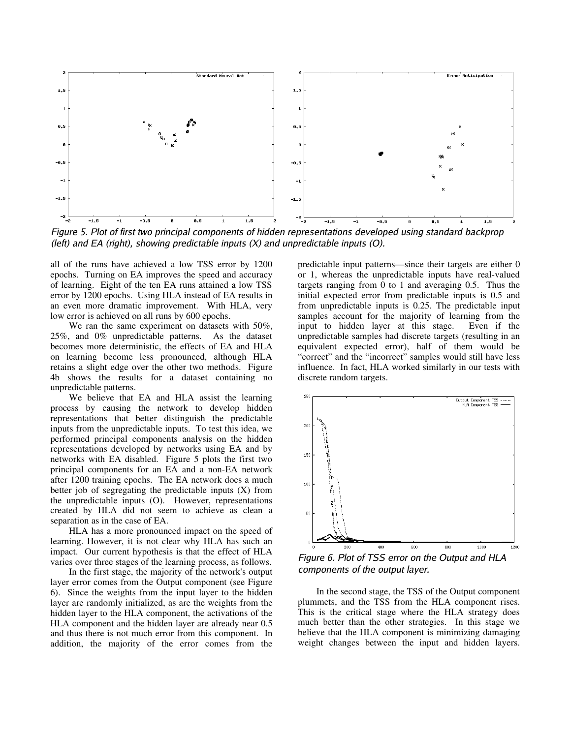

Figure 5. Plot of first two principal components of hidden representations developed using standard backprop (left) and EA (right), showing predictable inputs  $(X)$  and unpredictable inputs  $(0)$ .

all of the runs have achieved a low TSS error by 1200 epochs. Turning on EA improves the speed and accuracy of learning. Eight of the ten EA runs attained a low TSS error by 1200 epochs. Using HLA instead of EA results in an even more dramatic improvement. With HLA, very low error is achieved on all runs by 600 epochs.

We ran the same experiment on datasets with 50%, 25%, and 0% unpredictable patterns. As the dataset becomes more deterministic, the effects of EA and HLA on learning become less pronounced, although HLA retains a slight edge over the other two methods. Figure 4b shows the results for a dataset containing no unpredictable patterns.

We believe that EA and HLA assist the learning process by causing the network to develop hidden representations that better distinguish the predictable inputs from the unpredictable inputs. To test this idea, we performed principal components analysis on the hidden representations developed by networks using EA and by networks with EA disabled. Figure 5 plots the first two principal components for an EA and a non-EA network after 1200 training epochs. The EA network does a much better job of segregating the predictable inputs (X) from the unpredictable inputs (O). However, representations created by HLA did not seem to achieve as clean a separation as in the case of EA.

HLA has a more pronounced impact on the speed of learning. However, it is not clear why HLA has such an impact. Our current hypothesis is that the effect of HLA varies over three stages of the learning process, as follows.

In the first stage, the majority of the network's output layer error comes from the Output component (see Figure 6). Since the weights from the input layer to the hidden layer are randomly initialized, as are the weights from the hidden layer to the HLA component, the activations of the HLA component and the hidden layer are already near 0.5 and thus there is not much error from this component. In addition, the majority of the error comes from the

predictable input patterns—since their targets are either 0 or 1, whereas the unpredictable inputs have real-valued targets ranging from 0 to 1 and averaging 0.5. Thus the initial expected error from predictable inputs is 0.5 and from unpredictable inputs is 0.25. The predictable input samples account for the majority of learning from the input to hidden layer at this stage. Even if the unpredictable samples had discrete targets (resulting in an equivalent expected error), half of them would be "correct" and the "incorrect" samples would still have less influence. In fact, HLA worked similarly in our tests with discrete random targets.



Figure 6. Plot of TSS error on the Output and HLA components of the output layer.

In the second stage, the TSS of the Output component plummets, and the TSS from the HLA component rises. This is the critical stage where the HLA strategy does much better than the other strategies. In this stage we believe that the HLA component is minimizing damaging weight changes between the input and hidden layers.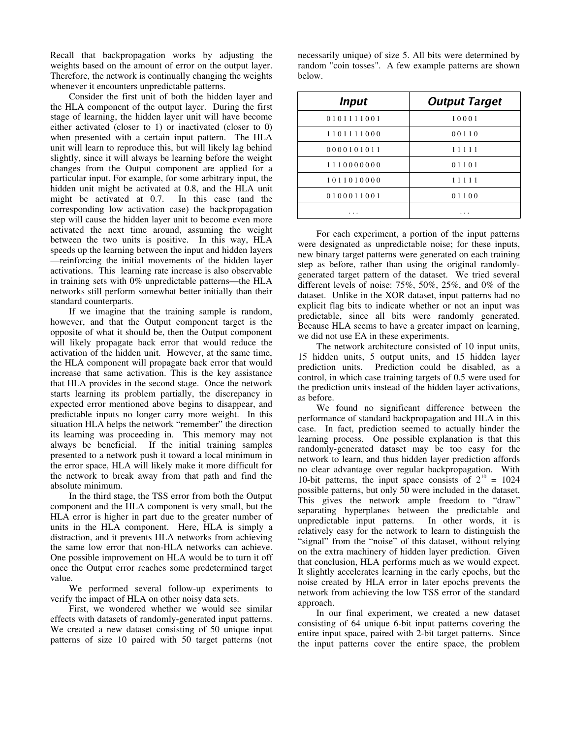Recall that backpropagation works by adjusting the weights based on the amount of error on the output layer. Therefore, the network is continually changing the weights whenever it encounters unpredictable patterns.

Consider the first unit of both the hidden layer and the HLA component of the output layer. During the first stage of learning, the hidden layer unit will have become either activated (closer to 1) or inactivated (closer to 0) when presented with a certain input pattern. The HLA unit will learn to reproduce this, but will likely lag behind slightly, since it will always be learning before the weight changes from the Output component are applied for a particular input. For example, for some arbitrary input, the hidden unit might be activated at 0.8, and the HLA unit might be activated at 0.7. In this case (and the corresponding low activation case) the backpropagation step will cause the hidden layer unit to become even more activated the next time around, assuming the weight between the two units is positive. In this way, HLA speeds up the learning between the input and hidden layers —reinforcing the initial movements of the hidden layer activations. This learning rate increase is also observable in training sets with 0% unpredictable patterns—the HLA networks still perform somewhat better initially than their standard counterparts.

If we imagine that the training sample is random, however, and that the Output component target is the opposite of what it should be, then the Output component will likely propagate back error that would reduce the activation of the hidden unit. However, at the same time, the HLA component will propagate back error that would increase that same activation. This is the key assistance that HLA provides in the second stage. Once the network starts learning its problem partially, the discrepancy in expected error mentioned above begins to disappear, and predictable inputs no longer carry more weight. In this situation HLA helps the network "remember" the direction its learning was proceeding in. This memory may not always be beneficial. If the initial training samples presented to a network push it toward a local minimum in the error space, HLA will likely make it more difficult for the network to break away from that path and find the absolute minimum.

In the third stage, the TSS error from both the Output component and the HLA component is very small, but the HLA error is higher in part due to the greater number of units in the HLA component. Here, HLA is simply a distraction, and it prevents HLA networks from achieving the same low error that non-HLA networks can achieve. One possible improvement on HLA would be to turn it off once the Output error reaches some predetermined target value.

We performed several follow-up experiments to verify the impact of HLA on other noisy data sets.

First, we wondered whether we would see similar effects with datasets of randomly-generated input patterns. We created a new dataset consisting of 50 unique input patterns of size 10 paired with 50 target patterns (not

| <b>Input</b> | <b>Output Target</b> |
|--------------|----------------------|
| 0101111001   | 10001                |
| 1101111000   | 00110                |
| 0000101011   | 11111                |
| 1110000000   | 01101                |
| 1011010000   | 11111                |
| 0100011001   | 01100                |

. . . . . .

necessarily unique) of size 5. All bits were determined by random "coin tosses". A few example patterns are shown below.

For each experiment, a portion of the input patterns were designated as unpredictable noise; for these inputs, new binary target patterns were generated on each training step as before, rather than using the original randomlygenerated target pattern of the dataset. We tried several different levels of noise: 75%, 50%, 25%, and 0% of the dataset. Unlike in the XOR dataset, input patterns had no explicit flag bits to indicate whether or not an input was predictable, since all bits were randomly generated. Because HLA seems to have a greater impact on learning, we did not use EA in these experiments.

The network architecture consisted of 10 input units, 15 hidden units, 5 output units, and 15 hidden layer prediction units. Prediction could be disabled, as a control, in which case training targets of 0.5 were used for the prediction units instead of the hidden layer activations, as before.

We found no significant difference between the performance of standard backpropagation and HLA in this case. In fact, prediction seemed to actually hinder the learning process. One possible explanation is that this randomly-generated dataset may be too easy for the network to learn, and thus hidden layer prediction affords no clear advantage over regular backpropagation. With 10-bit patterns, the input space consists of  $2^{10} = 1024$ possible patterns, but only 50 were included in the dataset. This gives the network ample freedom to "draw" separating hyperplanes between the predictable and unpredictable input patterns. In other words, it is relatively easy for the network to learn to distinguish the "signal" from the "noise" of this dataset, without relying on the extra machinery of hidden layer prediction. Given that conclusion, HLA performs much as we would expect. It slightly accelerates learning in the early epochs, but the noise created by HLA error in later epochs prevents the network from achieving the low TSS error of the standard approach.

In our final experiment, we created a new dataset consisting of 64 unique 6-bit input patterns covering the entire input space, paired with 2-bit target patterns. Since the input patterns cover the entire space, the problem